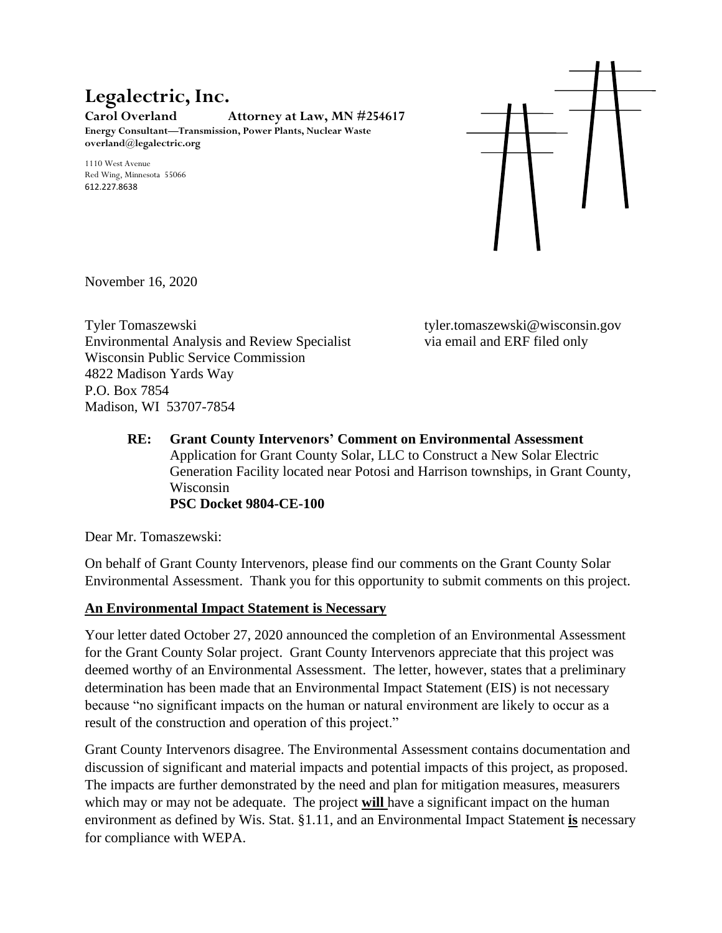# **Legalectric, Inc.**

**Carol Overland Attorney at Law, MN #254617 Energy Consultant—Transmission, Power Plants, Nuclear Waste overland@legalectric.org**

1110 West Avenue Red Wing, Minnesota 55066 612.227.8638



November 16, 2020

Tyler Tomaszewski tyler.tomaszewski@wisconsin.gov Environmental Analysis and Review Specialist via email and ERF filed only Wisconsin Public Service Commission 4822 Madison Yards Way P.O. Box 7854 Madison, WI 53707-7854

**RE: Grant County Intervenors' Comment on Environmental Assessment** Application for Grant County Solar, LLC to Construct a New Solar Electric Generation Facility located near Potosi and Harrison townships, in Grant County, Wisconsin **PSC Docket 9804-CE-100**

Dear Mr. Tomaszewski:

On behalf of Grant County Intervenors, please find our comments on the Grant County Solar Environmental Assessment. Thank you for this opportunity to submit comments on this project.

#### **An Environmental Impact Statement is Necessary**

Your letter dated October 27, 2020 announced the completion of an Environmental Assessment for the Grant County Solar project. Grant County Intervenors appreciate that this project was deemed worthy of an Environmental Assessment. The letter, however, states that a preliminary determination has been made that an Environmental Impact Statement (EIS) is not necessary because "no significant impacts on the human or natural environment are likely to occur as a result of the construction and operation of this project."

Grant County Intervenors disagree. The Environmental Assessment contains documentation and discussion of significant and material impacts and potential impacts of this project, as proposed. The impacts are further demonstrated by the need and plan for mitigation measures, measurers which may or may not be adequate. The project **will** have a significant impact on the human environment as defined by Wis. Stat. §1.11, and an Environmental Impact Statement **is** necessary for compliance with WEPA.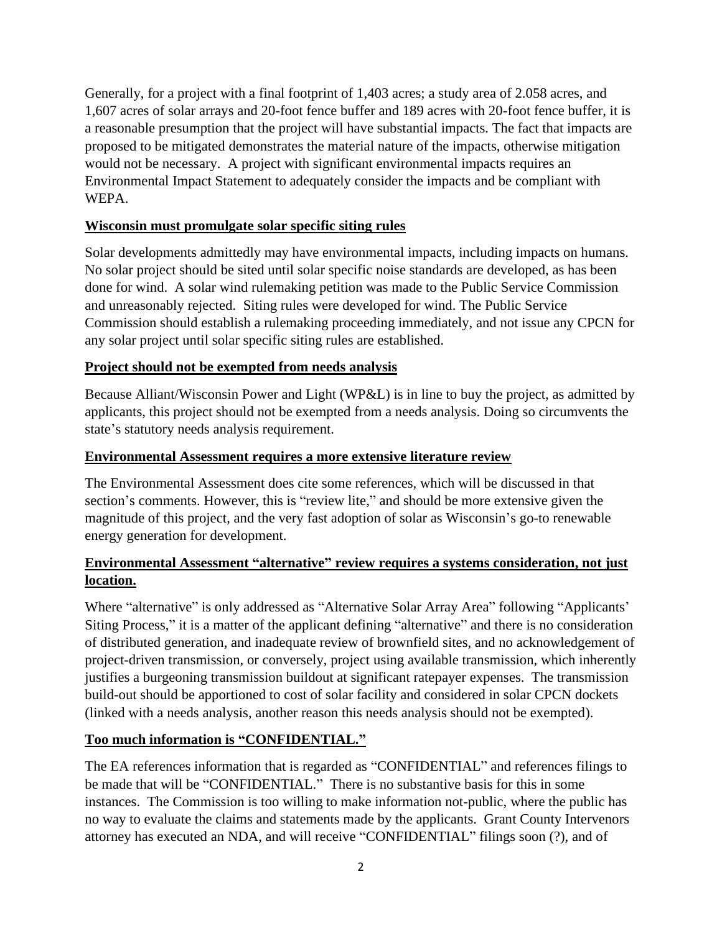Generally, for a project with a final footprint of 1,403 acres; a study area of 2.058 acres, and 1,607 acres of solar arrays and 20-foot fence buffer and 189 acres with 20-foot fence buffer, it is a reasonable presumption that the project will have substantial impacts. The fact that impacts are proposed to be mitigated demonstrates the material nature of the impacts, otherwise mitigation would not be necessary. A project with significant environmental impacts requires an Environmental Impact Statement to adequately consider the impacts and be compliant with WEPA.

#### **Wisconsin must promulgate solar specific siting rules**

Solar developments admittedly may have environmental impacts, including impacts on humans. No solar project should be sited until solar specific noise standards are developed, as has been done for wind. A solar wind rulemaking petition was made to the Public Service Commission and unreasonably rejected. Siting rules were developed for wind. The Public Service Commission should establish a rulemaking proceeding immediately, and not issue any CPCN for any solar project until solar specific siting rules are established.

#### **Project should not be exempted from needs analysis**

Because Alliant/Wisconsin Power and Light (WP&L) is in line to buy the project, as admitted by applicants, this project should not be exempted from a needs analysis. Doing so circumvents the state's statutory needs analysis requirement.

#### **Environmental Assessment requires a more extensive literature review**

The Environmental Assessment does cite some references, which will be discussed in that section's comments. However, this is "review lite," and should be more extensive given the magnitude of this project, and the very fast adoption of solar as Wisconsin's go-to renewable energy generation for development.

#### **Environmental Assessment "alternative" review requires a systems consideration, not just location.**

Where "alternative" is only addressed as "Alternative Solar Array Area" following "Applicants' Siting Process," it is a matter of the applicant defining "alternative" and there is no consideration of distributed generation, and inadequate review of brownfield sites, and no acknowledgement of project-driven transmission, or conversely, project using available transmission, which inherently justifies a burgeoning transmission buildout at significant ratepayer expenses. The transmission build-out should be apportioned to cost of solar facility and considered in solar CPCN dockets (linked with a needs analysis, another reason this needs analysis should not be exempted).

#### **Too much information is "CONFIDENTIAL."**

The EA references information that is regarded as "CONFIDENTIAL" and references filings to be made that will be "CONFIDENTIAL." There is no substantive basis for this in some instances. The Commission is too willing to make information not-public, where the public has no way to evaluate the claims and statements made by the applicants. Grant County Intervenors attorney has executed an NDA, and will receive "CONFIDENTIAL" filings soon (?), and of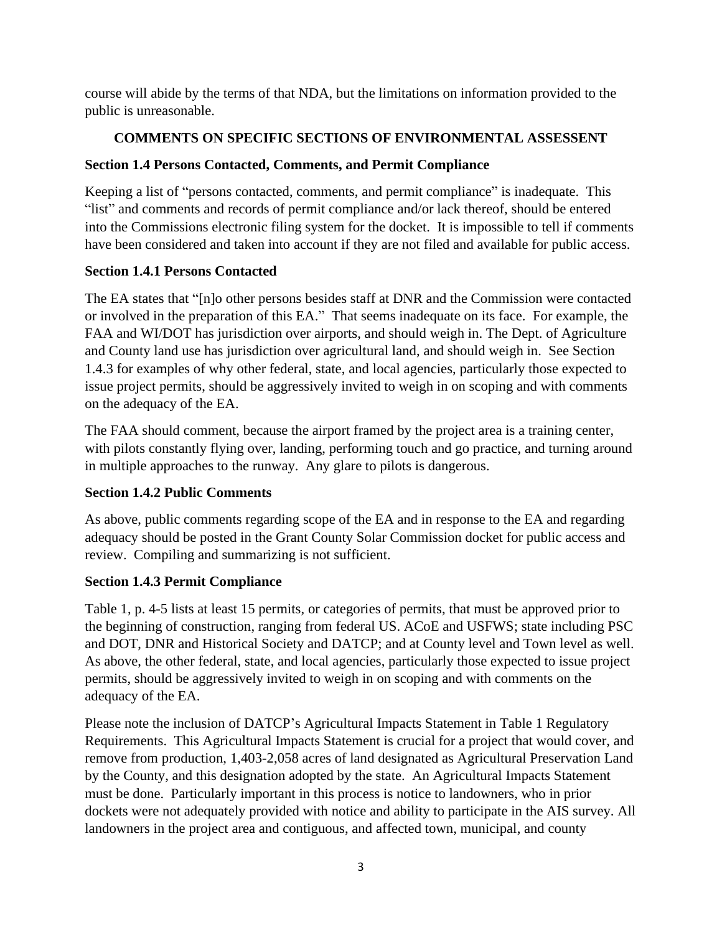course will abide by the terms of that NDA, but the limitations on information provided to the public is unreasonable.

## **COMMENTS ON SPECIFIC SECTIONS OF ENVIRONMENTAL ASSESSENT**

## **Section 1.4 Persons Contacted, Comments, and Permit Compliance**

Keeping a list of "persons contacted, comments, and permit compliance" is inadequate. This "list" and comments and records of permit compliance and/or lack thereof, should be entered into the Commissions electronic filing system for the docket. It is impossible to tell if comments have been considered and taken into account if they are not filed and available for public access.

## **Section 1.4.1 Persons Contacted**

The EA states that "[n]o other persons besides staff at DNR and the Commission were contacted or involved in the preparation of this EA." That seems inadequate on its face. For example, the FAA and WI/DOT has jurisdiction over airports, and should weigh in. The Dept. of Agriculture and County land use has jurisdiction over agricultural land, and should weigh in. See Section 1.4.3 for examples of why other federal, state, and local agencies, particularly those expected to issue project permits, should be aggressively invited to weigh in on scoping and with comments on the adequacy of the EA.

The FAA should comment, because the airport framed by the project area is a training center, with pilots constantly flying over, landing, performing touch and go practice, and turning around in multiple approaches to the runway. Any glare to pilots is dangerous.

## **Section 1.4.2 Public Comments**

As above, public comments regarding scope of the EA and in response to the EA and regarding adequacy should be posted in the Grant County Solar Commission docket for public access and review. Compiling and summarizing is not sufficient.

## **Section 1.4.3 Permit Compliance**

Table 1, p. 4-5 lists at least 15 permits, or categories of permits, that must be approved prior to the beginning of construction, ranging from federal US. ACoE and USFWS; state including PSC and DOT, DNR and Historical Society and DATCP; and at County level and Town level as well. As above, the other federal, state, and local agencies, particularly those expected to issue project permits, should be aggressively invited to weigh in on scoping and with comments on the adequacy of the EA.

Please note the inclusion of DATCP's Agricultural Impacts Statement in Table 1 Regulatory Requirements. This Agricultural Impacts Statement is crucial for a project that would cover, and remove from production, 1,403-2,058 acres of land designated as Agricultural Preservation Land by the County, and this designation adopted by the state. An Agricultural Impacts Statement must be done. Particularly important in this process is notice to landowners, who in prior dockets were not adequately provided with notice and ability to participate in the AIS survey. All landowners in the project area and contiguous, and affected town, municipal, and county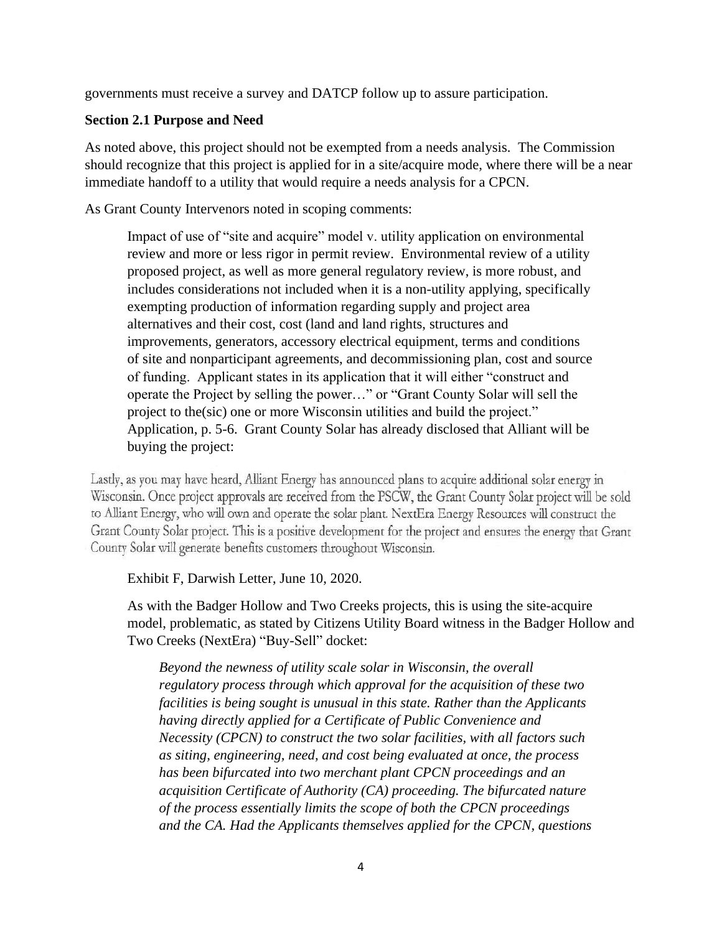governments must receive a survey and DATCP follow up to assure participation.

#### **Section 2.1 Purpose and Need**

As noted above, this project should not be exempted from a needs analysis. The Commission should recognize that this project is applied for in a site/acquire mode, where there will be a near immediate handoff to a utility that would require a needs analysis for a CPCN.

As Grant County Intervenors noted in scoping comments:

Impact of use of "site and acquire" model v. utility application on environmental review and more or less rigor in permit review. Environmental review of a utility proposed project, as well as more general regulatory review, is more robust, and includes considerations not included when it is a non-utility applying, specifically exempting production of information regarding supply and project area alternatives and their cost, cost (land and land rights, structures and improvements, generators, accessory electrical equipment, terms and conditions of site and nonparticipant agreements, and decommissioning plan, cost and source of funding. Applicant states in its application that it will either "construct and operate the Project by selling the power…" or "Grant County Solar will sell the project to the(sic) one or more Wisconsin utilities and build the project." Application, p. 5-6. Grant County Solar has already disclosed that Alliant will be buying the project:

Lastly, as you may have heard, Alliant Energy has announced plans to acquire additional solar energy in Wisconsin. Once project approvals are received from the PSCW, the Grant County Solar project will be sold to Alliant Energy, who will own and operate the solar plant. NextEra Energy Resources will construct the Grant County Solar project. This is a positive development for the project and ensures the energy that Grant County Solar will generate benefits customers throughout Wisconsin.

#### Exhibit F, Darwish Letter, June 10, 2020.

As with the Badger Hollow and Two Creeks projects, this is using the site-acquire model, problematic, as stated by Citizens Utility Board witness in the Badger Hollow and Two Creeks (NextEra) "Buy-Sell" docket:

*Beyond the newness of utility scale solar in Wisconsin, the overall regulatory process through which approval for the acquisition of these two facilities is being sought is unusual in this state. Rather than the Applicants having directly applied for a Certificate of Public Convenience and Necessity (CPCN) to construct the two solar facilities, with all factors such as siting, engineering, need, and cost being evaluated at once, the process has been bifurcated into two merchant plant CPCN proceedings and an acquisition Certificate of Authority (CA) proceeding. The bifurcated nature of the process essentially limits the scope of both the CPCN proceedings and the CA. Had the Applicants themselves applied for the CPCN, questions*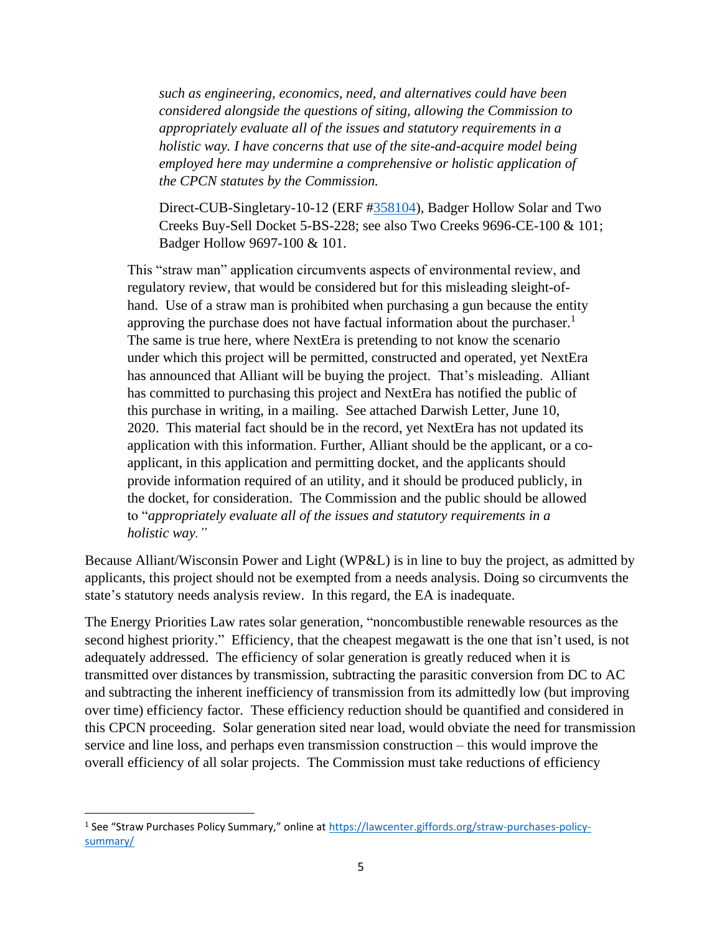*such as engineering, economics, need, and alternatives could have been considered alongside the questions of siting, allowing the Commission to appropriately evaluate all of the issues and statutory requirements in a holistic way. I have concerns that use of the site-and-acquire model being employed here may undermine a comprehensive or holistic application of the CPCN statutes by the Commission.*

Direct-CUB-Singletary-10-12 (ERF [#358104\)](https://apps.psc.wi.gov/pages/viewdoc.htm?docid=358104), Badger Hollow Solar and Two Creeks Buy-Sell Docket 5-BS-228; see also Two Creeks 9696-CE-100 & 101; Badger Hollow 9697-100 & 101.

This "straw man" application circumvents aspects of environmental review, and regulatory review, that would be considered but for this misleading sleight-ofhand. Use of a straw man is prohibited when purchasing a gun because the entity approving the purchase does not have factual information about the purchaser.<sup>1</sup> The same is true here, where NextEra is pretending to not know the scenario under which this project will be permitted, constructed and operated, yet NextEra has announced that Alliant will be buying the project. That's misleading. Alliant has committed to purchasing this project and NextEra has notified the public of this purchase in writing, in a mailing. See attached Darwish Letter, June 10, 2020. This material fact should be in the record, yet NextEra has not updated its application with this information. Further, Alliant should be the applicant, or a coapplicant, in this application and permitting docket, and the applicants should provide information required of an utility, and it should be produced publicly, in the docket, for consideration. The Commission and the public should be allowed to "*appropriately evaluate all of the issues and statutory requirements in a holistic way."*

Because Alliant/Wisconsin Power and Light (WP&L) is in line to buy the project, as admitted by applicants, this project should not be exempted from a needs analysis. Doing so circumvents the state's statutory needs analysis review. In this regard, the EA is inadequate.

The Energy Priorities Law rates solar generation, "noncombustible renewable resources as the second highest priority." Efficiency, that the cheapest megawatt is the one that isn't used, is not adequately addressed. The efficiency of solar generation is greatly reduced when it is transmitted over distances by transmission, subtracting the parasitic conversion from DC to AC and subtracting the inherent inefficiency of transmission from its admittedly low (but improving over time) efficiency factor. These efficiency reduction should be quantified and considered in this CPCN proceeding. Solar generation sited near load, would obviate the need for transmission service and line loss, and perhaps even transmission construction – this would improve the overall efficiency of all solar projects. The Commission must take reductions of efficiency

<sup>&</sup>lt;sup>1</sup> See "Straw Purchases Policy Summary," online at [https://lawcenter.giffords.org/straw-purchases-policy](https://lawcenter.giffords.org/straw-purchases-policy-summary/)[summary/](https://lawcenter.giffords.org/straw-purchases-policy-summary/)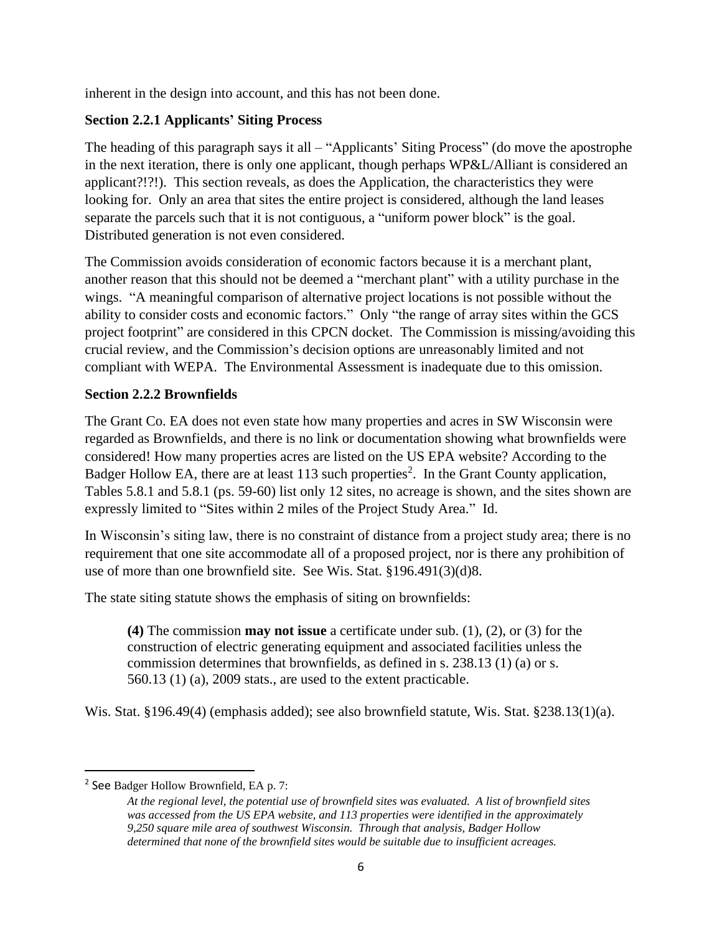inherent in the design into account, and this has not been done.

### **Section 2.2.1 Applicants' Siting Process**

The heading of this paragraph says it all – "Applicants' Siting Process" (do move the apostrophe in the next iteration, there is only one applicant, though perhaps WP&L/Alliant is considered an applicant?!?!). This section reveals, as does the Application, the characteristics they were looking for. Only an area that sites the entire project is considered, although the land leases separate the parcels such that it is not contiguous, a "uniform power block" is the goal. Distributed generation is not even considered.

The Commission avoids consideration of economic factors because it is a merchant plant, another reason that this should not be deemed a "merchant plant" with a utility purchase in the wings. "A meaningful comparison of alternative project locations is not possible without the ability to consider costs and economic factors." Only "the range of array sites within the GCS project footprint" are considered in this CPCN docket. The Commission is missing/avoiding this crucial review, and the Commission's decision options are unreasonably limited and not compliant with WEPA. The Environmental Assessment is inadequate due to this omission.

#### **Section 2.2.2 Brownfields**

The Grant Co. EA does not even state how many properties and acres in SW Wisconsin were regarded as Brownfields, and there is no link or documentation showing what brownfields were considered! How many properties acres are listed on the US EPA website? According to the Badger Hollow EA, there are at least 113 such properties<sup>2</sup>. In the Grant County application, Tables 5.8.1 and 5.8.1 (ps. 59-60) list only 12 sites, no acreage is shown, and the sites shown are expressly limited to "Sites within 2 miles of the Project Study Area." Id.

In Wisconsin's siting law, there is no constraint of distance from a project study area; there is no requirement that one site accommodate all of a proposed project, nor is there any prohibition of use of more than one brownfield site. See Wis. Stat. §196.491(3)(d)8.

The state siting statute shows the emphasis of siting on brownfields:

**(4)** The commission **may not issue** a certificate under sub. (1), (2), or (3) for the construction of electric generating equipment and associated facilities unless the commission determines that brownfields, as defined in s. 238.13 (1) (a) or s. 560.13 (1) (a), 2009 stats., are used to the extent practicable.

Wis. Stat. §196.49(4) (emphasis added); see also brownfield statute, Wis. Stat. §238.13(1)(a).

<sup>&</sup>lt;sup>2</sup> See Badger Hollow Brownfield, EA p. 7:

*At the regional level, the potential use of brownfield sites was evaluated. A list of brownfield sites was accessed from the US EPA website, and 113 properties were identified in the approximately 9,250 square mile area of southwest Wisconsin. Through that analysis, Badger Hollow determined that none of the brownfield sites would be suitable due to insufficient acreages.*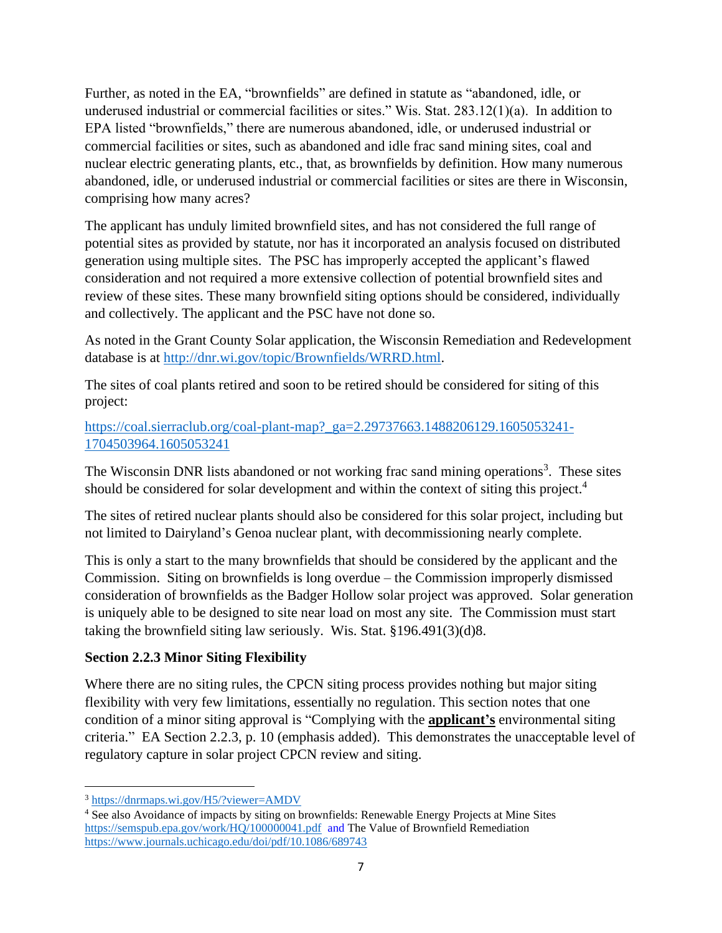Further, as noted in the EA, "brownfields" are defined in statute as "abandoned, idle, or underused industrial or commercial facilities or sites." Wis. Stat. 283.12(1)(a). In addition to EPA listed "brownfields," there are numerous abandoned, idle, or underused industrial or commercial facilities or sites, such as abandoned and idle frac sand mining sites, coal and nuclear electric generating plants, etc., that, as brownfields by definition. How many numerous abandoned, idle, or underused industrial or commercial facilities or sites are there in Wisconsin, comprising how many acres?

The applicant has unduly limited brownfield sites, and has not considered the full range of potential sites as provided by statute, nor has it incorporated an analysis focused on distributed generation using multiple sites. The PSC has improperly accepted the applicant's flawed consideration and not required a more extensive collection of potential brownfield sites and review of these sites. These many brownfield siting options should be considered, individually and collectively. The applicant and the PSC have not done so.

As noted in the Grant County Solar application, the Wisconsin Remediation and Redevelopment database is at [http://dnr.wi.gov/topic/Brownfields/WRRD.html.](http://dnr.wi.gov/topic/Brownfields/WRRD.html)

The sites of coal plants retired and soon to be retired should be considered for siting of this project:

[https://coal.sierraclub.org/coal-plant-map?\\_ga=2.29737663.1488206129.1605053241-](https://coal.sierraclub.org/coal-plant-map?_ga=2.29737663.1488206129.1605053241-1704503964.1605053241) [1704503964.1605053241](https://coal.sierraclub.org/coal-plant-map?_ga=2.29737663.1488206129.1605053241-1704503964.1605053241)

The Wisconsin DNR lists abandoned or not working frac sand mining operations<sup>3</sup>. These sites should be considered for solar development and within the context of siting this project.<sup>4</sup>

The sites of retired nuclear plants should also be considered for this solar project, including but not limited to Dairyland's Genoa nuclear plant, with decommissioning nearly complete.

This is only a start to the many brownfields that should be considered by the applicant and the Commission. Siting on brownfields is long overdue – the Commission improperly dismissed consideration of brownfields as the Badger Hollow solar project was approved. Solar generation is uniquely able to be designed to site near load on most any site. The Commission must start taking the brownfield siting law seriously. Wis. Stat. §196.491(3)(d)8.

#### **Section 2.2.3 Minor Siting Flexibility**

Where there are no siting rules, the CPCN siting process provides nothing but major siting flexibility with very few limitations, essentially no regulation. This section notes that one condition of a minor siting approval is "Complying with the **applicant's** environmental siting criteria." EA Section 2.2.3, p. 10 (emphasis added). This demonstrates the unacceptable level of regulatory capture in solar project CPCN review and siting.

<sup>3</sup> <https://dnrmaps.wi.gov/H5/?viewer=AMDV>

<sup>4</sup> See also Avoidance of impacts by siting on brownfields: Renewable Energy Projects at Mine Sites <https://semspub.epa.gov/work/HQ/100000041.pdf>and The Value of Brownfield Remediation <https://www.journals.uchicago.edu/doi/pdf/10.1086/689743>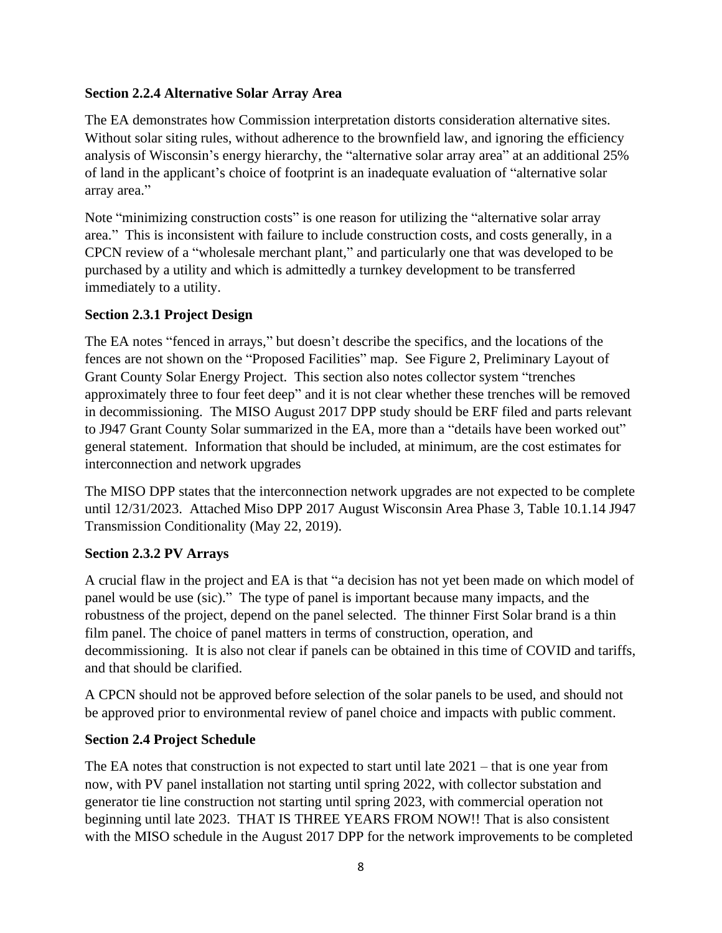#### **Section 2.2.4 Alternative Solar Array Area**

The EA demonstrates how Commission interpretation distorts consideration alternative sites. Without solar siting rules, without adherence to the brownfield law, and ignoring the efficiency analysis of Wisconsin's energy hierarchy, the "alternative solar array area" at an additional 25% of land in the applicant's choice of footprint is an inadequate evaluation of "alternative solar array area."

Note "minimizing construction costs" is one reason for utilizing the "alternative solar array area." This is inconsistent with failure to include construction costs, and costs generally, in a CPCN review of a "wholesale merchant plant," and particularly one that was developed to be purchased by a utility and which is admittedly a turnkey development to be transferred immediately to a utility.

## **Section 2.3.1 Project Design**

The EA notes "fenced in arrays," but doesn't describe the specifics, and the locations of the fences are not shown on the "Proposed Facilities" map. See Figure 2, Preliminary Layout of Grant County Solar Energy Project. This section also notes collector system "trenches approximately three to four feet deep" and it is not clear whether these trenches will be removed in decommissioning. The MISO August 2017 DPP study should be ERF filed and parts relevant to J947 Grant County Solar summarized in the EA, more than a "details have been worked out" general statement. Information that should be included, at minimum, are the cost estimates for interconnection and network upgrades

The MISO DPP states that the interconnection network upgrades are not expected to be complete until 12/31/2023. Attached Miso DPP 2017 August Wisconsin Area Phase 3, Table 10.1.14 J947 Transmission Conditionality (May 22, 2019).

## **Section 2.3.2 PV Arrays**

A crucial flaw in the project and EA is that "a decision has not yet been made on which model of panel would be use (sic)." The type of panel is important because many impacts, and the robustness of the project, depend on the panel selected. The thinner First Solar brand is a thin film panel. The choice of panel matters in terms of construction, operation, and decommissioning. It is also not clear if panels can be obtained in this time of COVID and tariffs, and that should be clarified.

A CPCN should not be approved before selection of the solar panels to be used, and should not be approved prior to environmental review of panel choice and impacts with public comment.

#### **Section 2.4 Project Schedule**

The EA notes that construction is not expected to start until late  $2021$  – that is one year from now, with PV panel installation not starting until spring 2022, with collector substation and generator tie line construction not starting until spring 2023, with commercial operation not beginning until late 2023. THAT IS THREE YEARS FROM NOW!! That is also consistent with the MISO schedule in the August 2017 DPP for the network improvements to be completed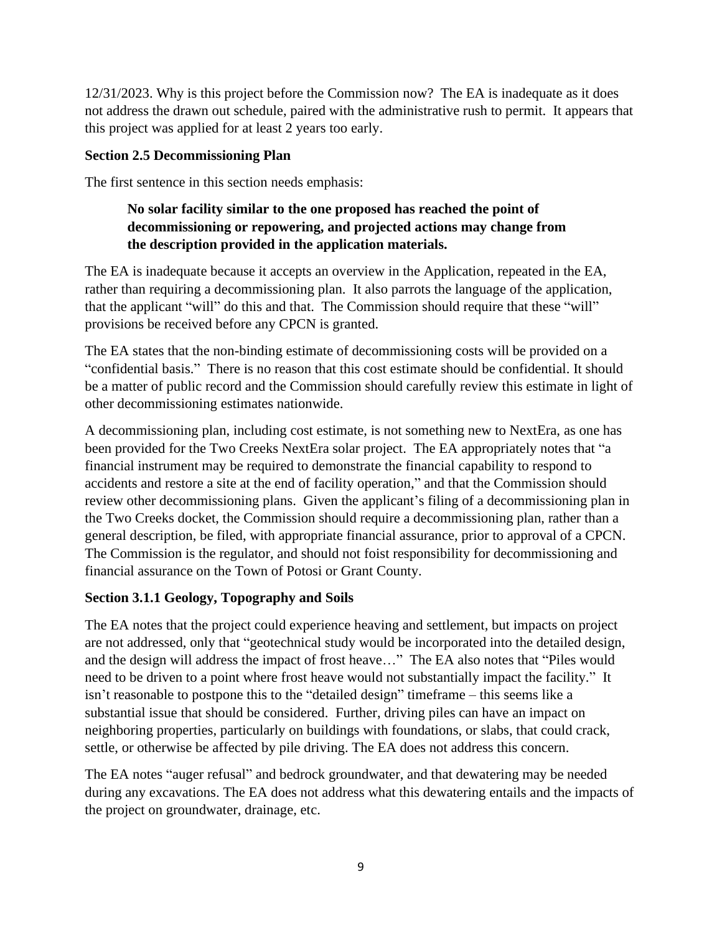12/31/2023. Why is this project before the Commission now? The EA is inadequate as it does not address the drawn out schedule, paired with the administrative rush to permit. It appears that this project was applied for at least 2 years too early.

#### **Section 2.5 Decommissioning Plan**

The first sentence in this section needs emphasis:

## **No solar facility similar to the one proposed has reached the point of decommissioning or repowering, and projected actions may change from the description provided in the application materials.**

The EA is inadequate because it accepts an overview in the Application, repeated in the EA, rather than requiring a decommissioning plan. It also parrots the language of the application, that the applicant "will" do this and that. The Commission should require that these "will" provisions be received before any CPCN is granted.

The EA states that the non-binding estimate of decommissioning costs will be provided on a "confidential basis." There is no reason that this cost estimate should be confidential. It should be a matter of public record and the Commission should carefully review this estimate in light of other decommissioning estimates nationwide.

A decommissioning plan, including cost estimate, is not something new to NextEra, as one has been provided for the Two Creeks NextEra solar project. The EA appropriately notes that "a financial instrument may be required to demonstrate the financial capability to respond to accidents and restore a site at the end of facility operation," and that the Commission should review other decommissioning plans. Given the applicant's filing of a decommissioning plan in the Two Creeks docket, the Commission should require a decommissioning plan, rather than a general description, be filed, with appropriate financial assurance, prior to approval of a CPCN. The Commission is the regulator, and should not foist responsibility for decommissioning and financial assurance on the Town of Potosi or Grant County.

#### **Section 3.1.1 Geology, Topography and Soils**

The EA notes that the project could experience heaving and settlement, but impacts on project are not addressed, only that "geotechnical study would be incorporated into the detailed design, and the design will address the impact of frost heave…" The EA also notes that "Piles would need to be driven to a point where frost heave would not substantially impact the facility." It isn't reasonable to postpone this to the "detailed design" timeframe – this seems like a substantial issue that should be considered. Further, driving piles can have an impact on neighboring properties, particularly on buildings with foundations, or slabs, that could crack, settle, or otherwise be affected by pile driving. The EA does not address this concern.

The EA notes "auger refusal" and bedrock groundwater, and that dewatering may be needed during any excavations. The EA does not address what this dewatering entails and the impacts of the project on groundwater, drainage, etc.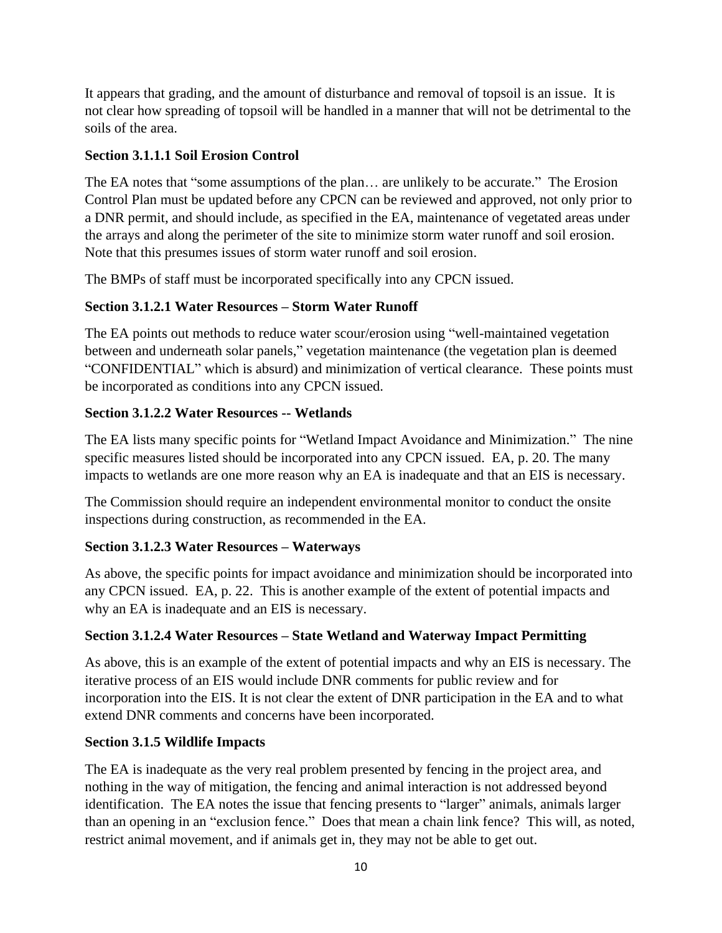It appears that grading, and the amount of disturbance and removal of topsoil is an issue. It is not clear how spreading of topsoil will be handled in a manner that will not be detrimental to the soils of the area.

### **Section 3.1.1.1 Soil Erosion Control**

The EA notes that "some assumptions of the plan… are unlikely to be accurate." The Erosion Control Plan must be updated before any CPCN can be reviewed and approved, not only prior to a DNR permit, and should include, as specified in the EA, maintenance of vegetated areas under the arrays and along the perimeter of the site to minimize storm water runoff and soil erosion. Note that this presumes issues of storm water runoff and soil erosion.

The BMPs of staff must be incorporated specifically into any CPCN issued.

## **Section 3.1.2.1 Water Resources – Storm Water Runoff**

The EA points out methods to reduce water scour/erosion using "well-maintained vegetation between and underneath solar panels," vegetation maintenance (the vegetation plan is deemed "CONFIDENTIAL" which is absurd) and minimization of vertical clearance. These points must be incorporated as conditions into any CPCN issued.

## **Section 3.1.2.2 Water Resources -- Wetlands**

The EA lists many specific points for "Wetland Impact Avoidance and Minimization." The nine specific measures listed should be incorporated into any CPCN issued. EA, p. 20. The many impacts to wetlands are one more reason why an EA is inadequate and that an EIS is necessary.

The Commission should require an independent environmental monitor to conduct the onsite inspections during construction, as recommended in the EA.

#### **Section 3.1.2.3 Water Resources – Waterways**

As above, the specific points for impact avoidance and minimization should be incorporated into any CPCN issued. EA, p. 22. This is another example of the extent of potential impacts and why an EA is inadequate and an EIS is necessary.

#### **Section 3.1.2.4 Water Resources – State Wetland and Waterway Impact Permitting**

As above, this is an example of the extent of potential impacts and why an EIS is necessary. The iterative process of an EIS would include DNR comments for public review and for incorporation into the EIS. It is not clear the extent of DNR participation in the EA and to what extend DNR comments and concerns have been incorporated.

#### **Section 3.1.5 Wildlife Impacts**

The EA is inadequate as the very real problem presented by fencing in the project area, and nothing in the way of mitigation, the fencing and animal interaction is not addressed beyond identification. The EA notes the issue that fencing presents to "larger" animals, animals larger than an opening in an "exclusion fence." Does that mean a chain link fence? This will, as noted, restrict animal movement, and if animals get in, they may not be able to get out.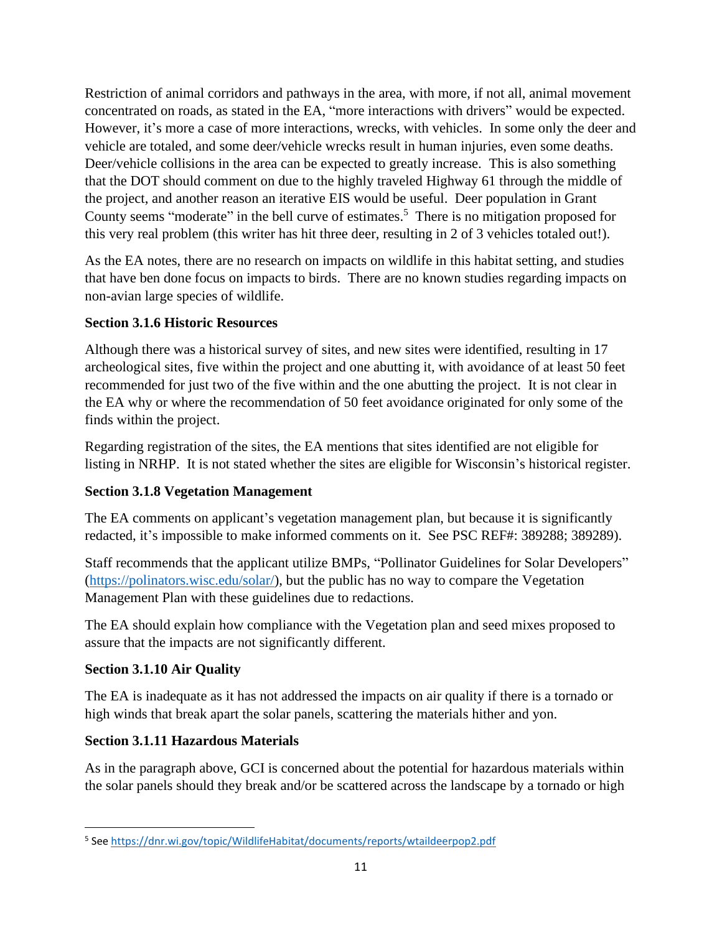Restriction of animal corridors and pathways in the area, with more, if not all, animal movement concentrated on roads, as stated in the EA, "more interactions with drivers" would be expected. However, it's more a case of more interactions, wrecks, with vehicles. In some only the deer and vehicle are totaled, and some deer/vehicle wrecks result in human injuries, even some deaths. Deer/vehicle collisions in the area can be expected to greatly increase. This is also something that the DOT should comment on due to the highly traveled Highway 61 through the middle of the project, and another reason an iterative EIS would be useful. Deer population in Grant County seems "moderate" in the bell curve of estimates.<sup>5</sup> There is no mitigation proposed for this very real problem (this writer has hit three deer, resulting in 2 of 3 vehicles totaled out!).

As the EA notes, there are no research on impacts on wildlife in this habitat setting, and studies that have ben done focus on impacts to birds. There are no known studies regarding impacts on non-avian large species of wildlife.

## **Section 3.1.6 Historic Resources**

Although there was a historical survey of sites, and new sites were identified, resulting in 17 archeological sites, five within the project and one abutting it, with avoidance of at least 50 feet recommended for just two of the five within and the one abutting the project. It is not clear in the EA why or where the recommendation of 50 feet avoidance originated for only some of the finds within the project.

Regarding registration of the sites, the EA mentions that sites identified are not eligible for listing in NRHP. It is not stated whether the sites are eligible for Wisconsin's historical register.

## **Section 3.1.8 Vegetation Management**

The EA comments on applicant's vegetation management plan, but because it is significantly redacted, it's impossible to make informed comments on it. See PSC REF#: 389288; 389289).

Staff recommends that the applicant utilize BMPs, "Pollinator Guidelines for Solar Developers" [\(https://polinators.wisc.edu/solar/\)](https://polinators.wisc.edu/solar/), but the public has no way to compare the Vegetation Management Plan with these guidelines due to redactions.

The EA should explain how compliance with the Vegetation plan and seed mixes proposed to assure that the impacts are not significantly different.

#### **Section 3.1.10 Air Quality**

The EA is inadequate as it has not addressed the impacts on air quality if there is a tornado or high winds that break apart the solar panels, scattering the materials hither and yon.

## **Section 3.1.11 Hazardous Materials**

As in the paragraph above, GCI is concerned about the potential for hazardous materials within the solar panels should they break and/or be scattered across the landscape by a tornado or high

<sup>&</sup>lt;sup>5</sup> See<https://dnr.wi.gov/topic/WildlifeHabitat/documents/reports/wtaildeerpop2.pdf>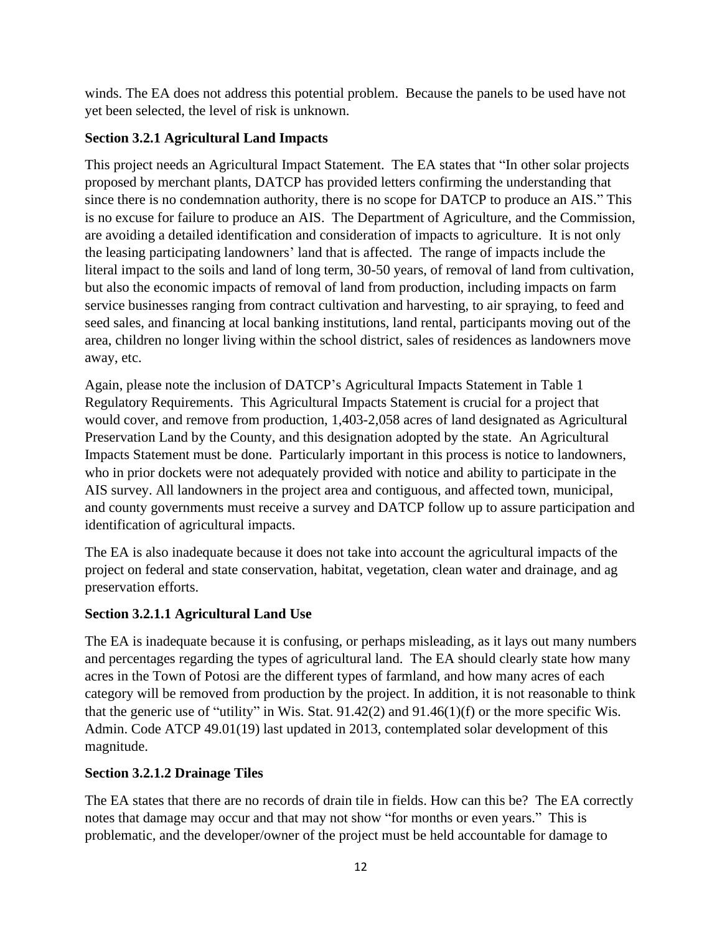winds. The EA does not address this potential problem. Because the panels to be used have not yet been selected, the level of risk is unknown.

## **Section 3.2.1 Agricultural Land Impacts**

This project needs an Agricultural Impact Statement. The EA states that "In other solar projects proposed by merchant plants, DATCP has provided letters confirming the understanding that since there is no condemnation authority, there is no scope for DATCP to produce an AIS." This is no excuse for failure to produce an AIS. The Department of Agriculture, and the Commission, are avoiding a detailed identification and consideration of impacts to agriculture. It is not only the leasing participating landowners' land that is affected. The range of impacts include the literal impact to the soils and land of long term, 30-50 years, of removal of land from cultivation, but also the economic impacts of removal of land from production, including impacts on farm service businesses ranging from contract cultivation and harvesting, to air spraying, to feed and seed sales, and financing at local banking institutions, land rental, participants moving out of the area, children no longer living within the school district, sales of residences as landowners move away, etc.

Again, please note the inclusion of DATCP's Agricultural Impacts Statement in Table 1 Regulatory Requirements. This Agricultural Impacts Statement is crucial for a project that would cover, and remove from production, 1,403-2,058 acres of land designated as Agricultural Preservation Land by the County, and this designation adopted by the state. An Agricultural Impacts Statement must be done. Particularly important in this process is notice to landowners, who in prior dockets were not adequately provided with notice and ability to participate in the AIS survey. All landowners in the project area and contiguous, and affected town, municipal, and county governments must receive a survey and DATCP follow up to assure participation and identification of agricultural impacts.

The EA is also inadequate because it does not take into account the agricultural impacts of the project on federal and state conservation, habitat, vegetation, clean water and drainage, and ag preservation efforts.

## **Section 3.2.1.1 Agricultural Land Use**

The EA is inadequate because it is confusing, or perhaps misleading, as it lays out many numbers and percentages regarding the types of agricultural land. The EA should clearly state how many acres in the Town of Potosi are the different types of farmland, and how many acres of each category will be removed from production by the project. In addition, it is not reasonable to think that the generic use of "utility" in Wis. Stat. 91.42(2) and 91.46(1)(f) or the more specific Wis. Admin. Code ATCP 49.01(19) last updated in 2013, contemplated solar development of this magnitude.

## **Section 3.2.1.2 Drainage Tiles**

The EA states that there are no records of drain tile in fields. How can this be? The EA correctly notes that damage may occur and that may not show "for months or even years." This is problematic, and the developer/owner of the project must be held accountable for damage to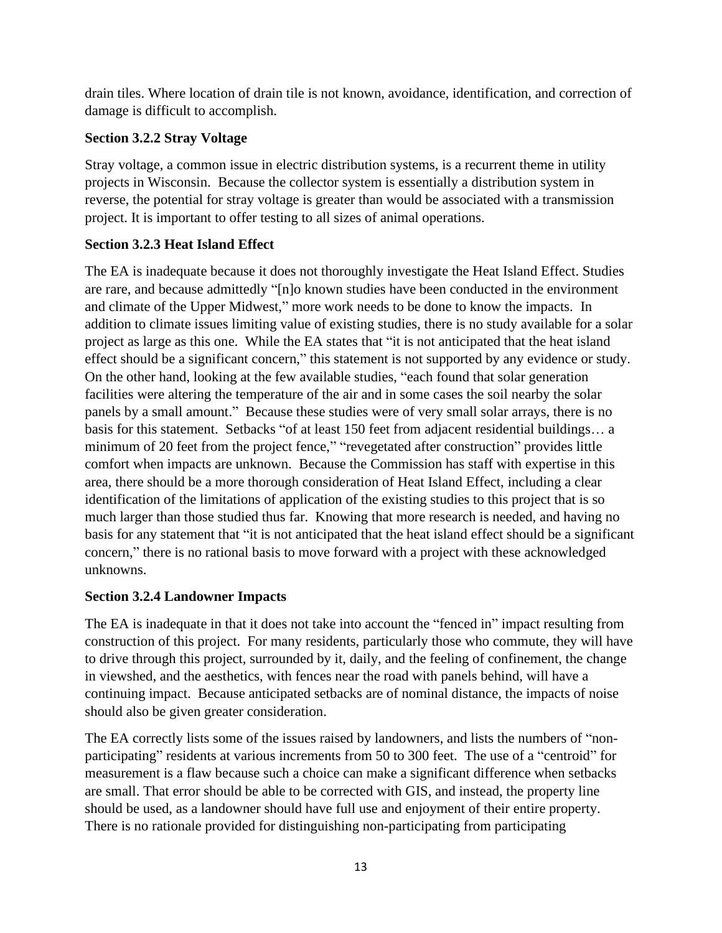drain tiles. Where location of drain tile is not known, avoidance, identification, and correction of damage is difficult to accomplish.

### **Section 3.2.2 Stray Voltage**

Stray voltage, a common issue in electric distribution systems, is a recurrent theme in utility projects in Wisconsin. Because the collector system is essentially a distribution system in reverse, the potential for stray voltage is greater than would be associated with a transmission project. It is important to offer testing to all sizes of animal operations.

## **Section 3.2.3 Heat Island Effect**

The EA is inadequate because it does not thoroughly investigate the Heat Island Effect. Studies are rare, and because admittedly "[n]o known studies have been conducted in the environment and climate of the Upper Midwest," more work needs to be done to know the impacts. In addition to climate issues limiting value of existing studies, there is no study available for a solar project as large as this one. While the EA states that "it is not anticipated that the heat island effect should be a significant concern," this statement is not supported by any evidence or study. On the other hand, looking at the few available studies, "each found that solar generation facilities were altering the temperature of the air and in some cases the soil nearby the solar panels by a small amount." Because these studies were of very small solar arrays, there is no basis for this statement. Setbacks "of at least 150 feet from adjacent residential buildings… a minimum of 20 feet from the project fence," "revegetated after construction" provides little comfort when impacts are unknown. Because the Commission has staff with expertise in this area, there should be a more thorough consideration of Heat Island Effect, including a clear identification of the limitations of application of the existing studies to this project that is so much larger than those studied thus far. Knowing that more research is needed, and having no basis for any statement that "it is not anticipated that the heat island effect should be a significant concern," there is no rational basis to move forward with a project with these acknowledged unknowns.

#### **Section 3.2.4 Landowner Impacts**

The EA is inadequate in that it does not take into account the "fenced in" impact resulting from construction of this project. For many residents, particularly those who commute, they will have to drive through this project, surrounded by it, daily, and the feeling of confinement, the change in viewshed, and the aesthetics, with fences near the road with panels behind, will have a continuing impact. Because anticipated setbacks are of nominal distance, the impacts of noise should also be given greater consideration.

The EA correctly lists some of the issues raised by landowners, and lists the numbers of "nonparticipating" residents at various increments from 50 to 300 feet. The use of a "centroid" for measurement is a flaw because such a choice can make a significant difference when setbacks are small. That error should be able to be corrected with GIS, and instead, the property line should be used, as a landowner should have full use and enjoyment of their entire property. There is no rationale provided for distinguishing non-participating from participating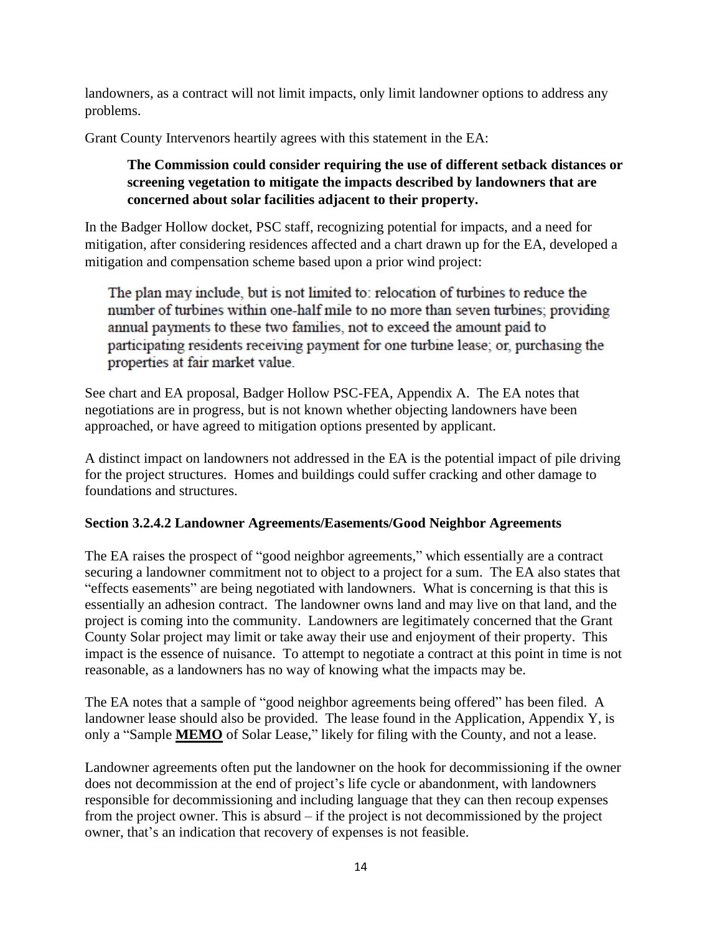landowners, as a contract will not limit impacts, only limit landowner options to address any problems.

Grant County Intervenors heartily agrees with this statement in the EA:

## **The Commission could consider requiring the use of different setback distances or screening vegetation to mitigate the impacts described by landowners that are concerned about solar facilities adjacent to their property.**

In the Badger Hollow docket, PSC staff, recognizing potential for impacts, and a need for mitigation, after considering residences affected and a chart drawn up for the EA, developed a mitigation and compensation scheme based upon a prior wind project:

The plan may include, but is not limited to: relocation of turbines to reduce the number of turbines within one-half mile to no more than seven turbines; providing annual payments to these two families, not to exceed the amount paid to participating residents receiving payment for one turbine lease; or, purchasing the properties at fair market value.

See chart and EA proposal, Badger Hollow PSC-FEA, Appendix A. The EA notes that negotiations are in progress, but is not known whether objecting landowners have been approached, or have agreed to mitigation options presented by applicant.

A distinct impact on landowners not addressed in the EA is the potential impact of pile driving for the project structures. Homes and buildings could suffer cracking and other damage to foundations and structures.

#### **Section 3.2.4.2 Landowner Agreements/Easements/Good Neighbor Agreements**

The EA raises the prospect of "good neighbor agreements," which essentially are a contract securing a landowner commitment not to object to a project for a sum. The EA also states that "effects easements" are being negotiated with landowners. What is concerning is that this is essentially an adhesion contract. The landowner owns land and may live on that land, and the project is coming into the community. Landowners are legitimately concerned that the Grant County Solar project may limit or take away their use and enjoyment of their property. This impact is the essence of nuisance. To attempt to negotiate a contract at this point in time is not reasonable, as a landowners has no way of knowing what the impacts may be.

The EA notes that a sample of "good neighbor agreements being offered" has been filed. A landowner lease should also be provided. The lease found in the Application, Appendix Y, is only a "Sample **MEMO** of Solar Lease," likely for filing with the County, and not a lease.

Landowner agreements often put the landowner on the hook for decommissioning if the owner does not decommission at the end of project's life cycle or abandonment, with landowners responsible for decommissioning and including language that they can then recoup expenses from the project owner. This is absurd – if the project is not decommissioned by the project owner, that's an indication that recovery of expenses is not feasible.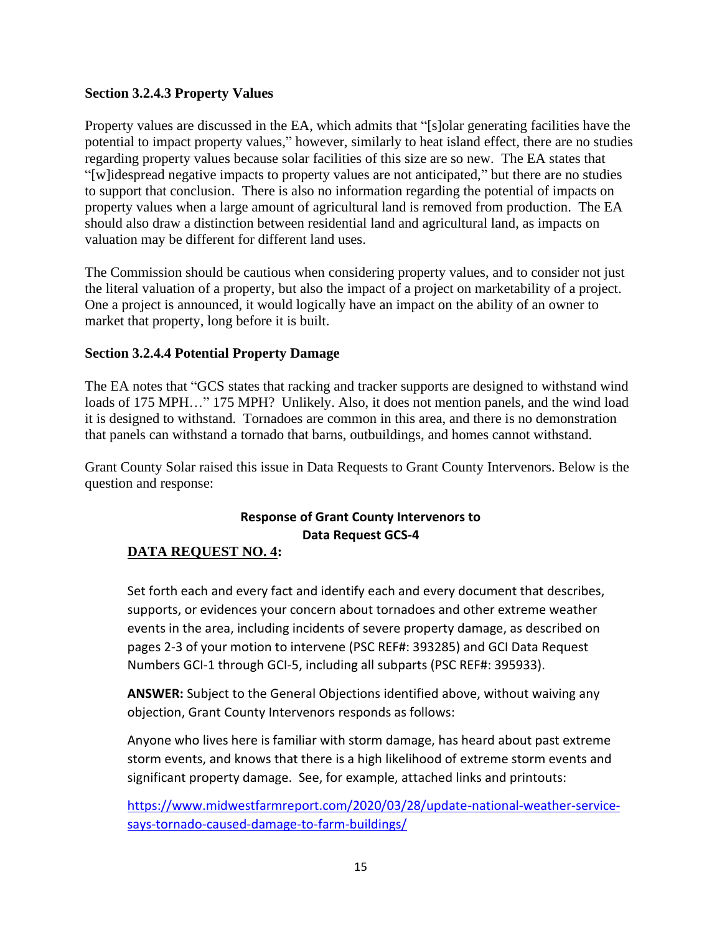#### **Section 3.2.4.3 Property Values**

Property values are discussed in the EA, which admits that "[s]olar generating facilities have the potential to impact property values," however, similarly to heat island effect, there are no studies regarding property values because solar facilities of this size are so new. The EA states that "[w]idespread negative impacts to property values are not anticipated," but there are no studies to support that conclusion. There is also no information regarding the potential of impacts on property values when a large amount of agricultural land is removed from production. The EA should also draw a distinction between residential land and agricultural land, as impacts on valuation may be different for different land uses.

The Commission should be cautious when considering property values, and to consider not just the literal valuation of a property, but also the impact of a project on marketability of a project. One a project is announced, it would logically have an impact on the ability of an owner to market that property, long before it is built.

#### **Section 3.2.4.4 Potential Property Damage**

The EA notes that "GCS states that racking and tracker supports are designed to withstand wind loads of 175 MPH..." 175 MPH? Unlikely. Also, it does not mention panels, and the wind load it is designed to withstand. Tornadoes are common in this area, and there is no demonstration that panels can withstand a tornado that barns, outbuildings, and homes cannot withstand.

Grant County Solar raised this issue in Data Requests to Grant County Intervenors. Below is the question and response:

## **Response of Grant County Intervenors to Data Request GCS-4**

#### **DATA REQUEST NO. 4:**

Set forth each and every fact and identify each and every document that describes, supports, or evidences your concern about tornadoes and other extreme weather events in the area, including incidents of severe property damage, as described on pages 2-3 of your motion to intervene (PSC REF#: 393285) and GCI Data Request Numbers GCI-1 through GCI-5, including all subparts (PSC REF#: 395933).

**ANSWER:** Subject to the General Objections identified above, without waiving any objection, Grant County Intervenors responds as follows:

Anyone who lives here is familiar with storm damage, has heard about past extreme storm events, and knows that there is a high likelihood of extreme storm events and significant property damage. See, for example, attached links and printouts:

[https://www.midwestfarmreport.com/2020/03/28/update-national-weather-service](https://www.midwestfarmreport.com/2020/03/28/update-national-weather-service-says-tornado-caused-damage-to-farm-buildings/)[says-tornado-caused-damage-to-farm-buildings/](https://www.midwestfarmreport.com/2020/03/28/update-national-weather-service-says-tornado-caused-damage-to-farm-buildings/)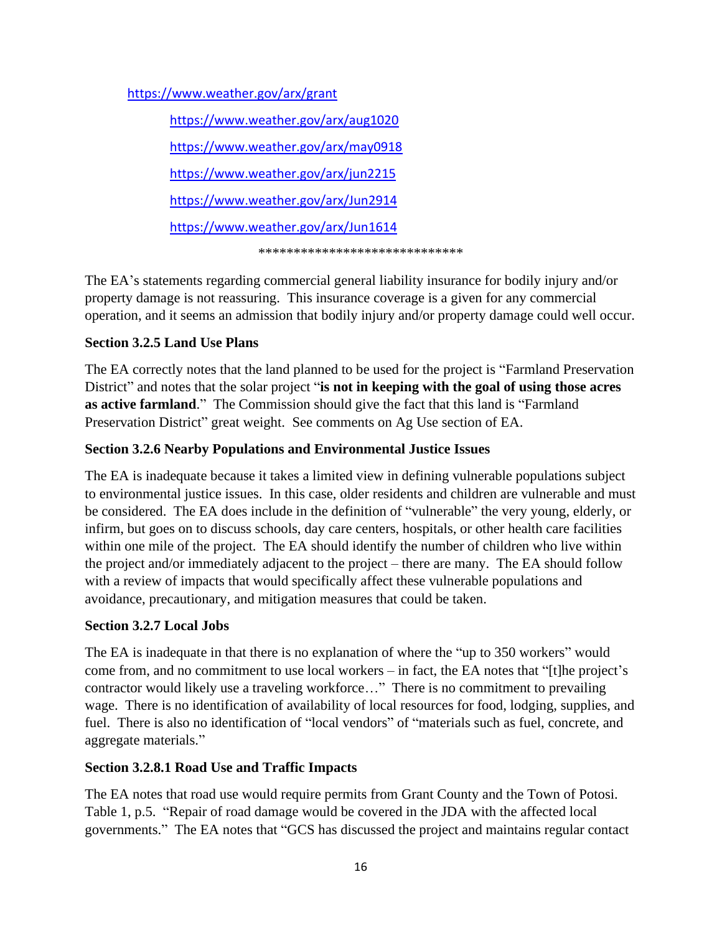<https://www.weather.gov/arx/grant>

<https://www.weather.gov/arx/aug1020> <https://www.weather.gov/arx/may0918>

<https://www.weather.gov/arx/jun2215>

<https://www.weather.gov/arx/Jun2914>

<https://www.weather.gov/arx/Jun1614>

\*\*\*\*\*\*\*\*\*\*\*\*\*\*\*\*\*\*\*\*\*\*\*\*\*\*\*\*\*

The EA's statements regarding commercial general liability insurance for bodily injury and/or property damage is not reassuring. This insurance coverage is a given for any commercial operation, and it seems an admission that bodily injury and/or property damage could well occur.

## **Section 3.2.5 Land Use Plans**

The EA correctly notes that the land planned to be used for the project is "Farmland Preservation District" and notes that the solar project "**is not in keeping with the goal of using those acres as active farmland**." The Commission should give the fact that this land is "Farmland Preservation District" great weight. See comments on Ag Use section of EA.

## **Section 3.2.6 Nearby Populations and Environmental Justice Issues**

The EA is inadequate because it takes a limited view in defining vulnerable populations subject to environmental justice issues. In this case, older residents and children are vulnerable and must be considered. The EA does include in the definition of "vulnerable" the very young, elderly, or infirm, but goes on to discuss schools, day care centers, hospitals, or other health care facilities within one mile of the project. The EA should identify the number of children who live within the project and/or immediately adjacent to the project – there are many. The EA should follow with a review of impacts that would specifically affect these vulnerable populations and avoidance, precautionary, and mitigation measures that could be taken.

## **Section 3.2.7 Local Jobs**

The EA is inadequate in that there is no explanation of where the "up to 350 workers" would come from, and no commitment to use local workers – in fact, the EA notes that "[t]he project's contractor would likely use a traveling workforce…" There is no commitment to prevailing wage. There is no identification of availability of local resources for food, lodging, supplies, and fuel. There is also no identification of "local vendors" of "materials such as fuel, concrete, and aggregate materials."

## **Section 3.2.8.1 Road Use and Traffic Impacts**

The EA notes that road use would require permits from Grant County and the Town of Potosi. Table 1, p.5. "Repair of road damage would be covered in the JDA with the affected local governments." The EA notes that "GCS has discussed the project and maintains regular contact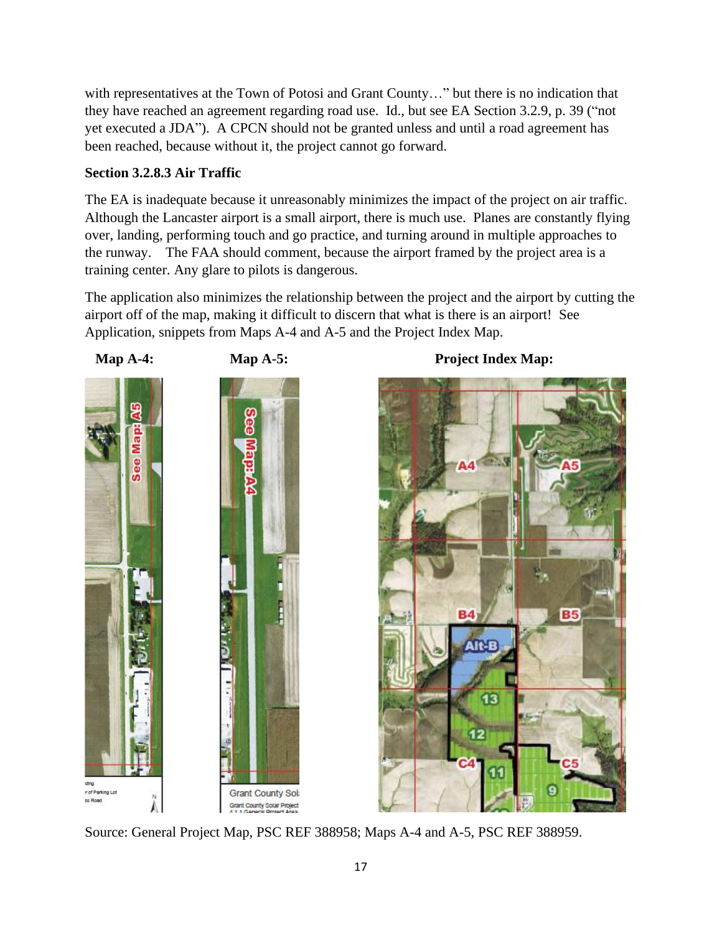with representatives at the Town of Potosi and Grant County..." but there is no indication that they have reached an agreement regarding road use. Id., but see EA Section 3.2.9, p. 39 ("not yet executed a JDA"). A CPCN should not be granted unless and until a road agreement has been reached, because without it, the project cannot go forward.

## **Section 3.2.8.3 Air Traffic**

The EA is inadequate because it unreasonably minimizes the impact of the project on air traffic. Although the Lancaster airport is a small airport, there is much use. Planes are constantly flying over, landing, performing touch and go practice, and turning around in multiple approaches to the runway. The FAA should comment, because the airport framed by the project area is a training center. Any glare to pilots is dangerous.

The application also minimizes the relationship between the project and the airport by cutting the airport off of the map, making it difficult to discern that what is there is an airport! See Application, snippets from Maps A-4 and A-5 and the Project Index Map.





Source: General Project Map, PSC REF 388958; Maps A-4 and A-5, PSC REF 388959.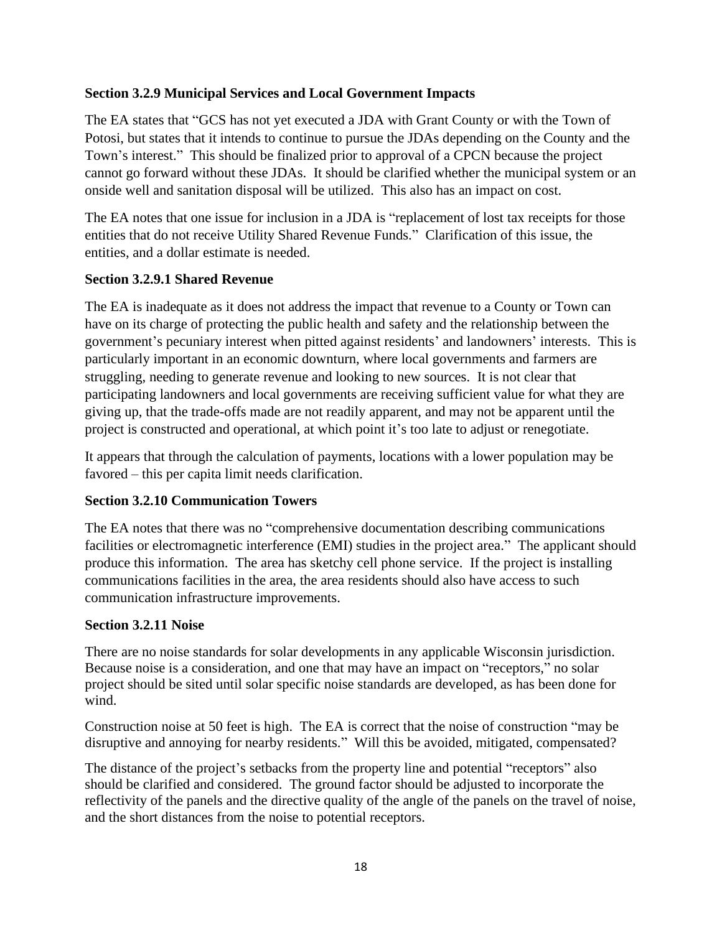#### **Section 3.2.9 Municipal Services and Local Government Impacts**

The EA states that "GCS has not yet executed a JDA with Grant County or with the Town of Potosi, but states that it intends to continue to pursue the JDAs depending on the County and the Town's interest." This should be finalized prior to approval of a CPCN because the project cannot go forward without these JDAs. It should be clarified whether the municipal system or an onside well and sanitation disposal will be utilized. This also has an impact on cost.

The EA notes that one issue for inclusion in a JDA is "replacement of lost tax receipts for those entities that do not receive Utility Shared Revenue Funds." Clarification of this issue, the entities, and a dollar estimate is needed.

## **Section 3.2.9.1 Shared Revenue**

The EA is inadequate as it does not address the impact that revenue to a County or Town can have on its charge of protecting the public health and safety and the relationship between the government's pecuniary interest when pitted against residents' and landowners' interests. This is particularly important in an economic downturn, where local governments and farmers are struggling, needing to generate revenue and looking to new sources. It is not clear that participating landowners and local governments are receiving sufficient value for what they are giving up, that the trade-offs made are not readily apparent, and may not be apparent until the project is constructed and operational, at which point it's too late to adjust or renegotiate.

It appears that through the calculation of payments, locations with a lower population may be favored – this per capita limit needs clarification.

#### **Section 3.2.10 Communication Towers**

The EA notes that there was no "comprehensive documentation describing communications facilities or electromagnetic interference (EMI) studies in the project area." The applicant should produce this information. The area has sketchy cell phone service. If the project is installing communications facilities in the area, the area residents should also have access to such communication infrastructure improvements.

#### **Section 3.2.11 Noise**

There are no noise standards for solar developments in any applicable Wisconsin jurisdiction. Because noise is a consideration, and one that may have an impact on "receptors," no solar project should be sited until solar specific noise standards are developed, as has been done for wind.

Construction noise at 50 feet is high. The EA is correct that the noise of construction "may be disruptive and annoying for nearby residents." Will this be avoided, mitigated, compensated?

The distance of the project's setbacks from the property line and potential "receptors" also should be clarified and considered. The ground factor should be adjusted to incorporate the reflectivity of the panels and the directive quality of the angle of the panels on the travel of noise, and the short distances from the noise to potential receptors.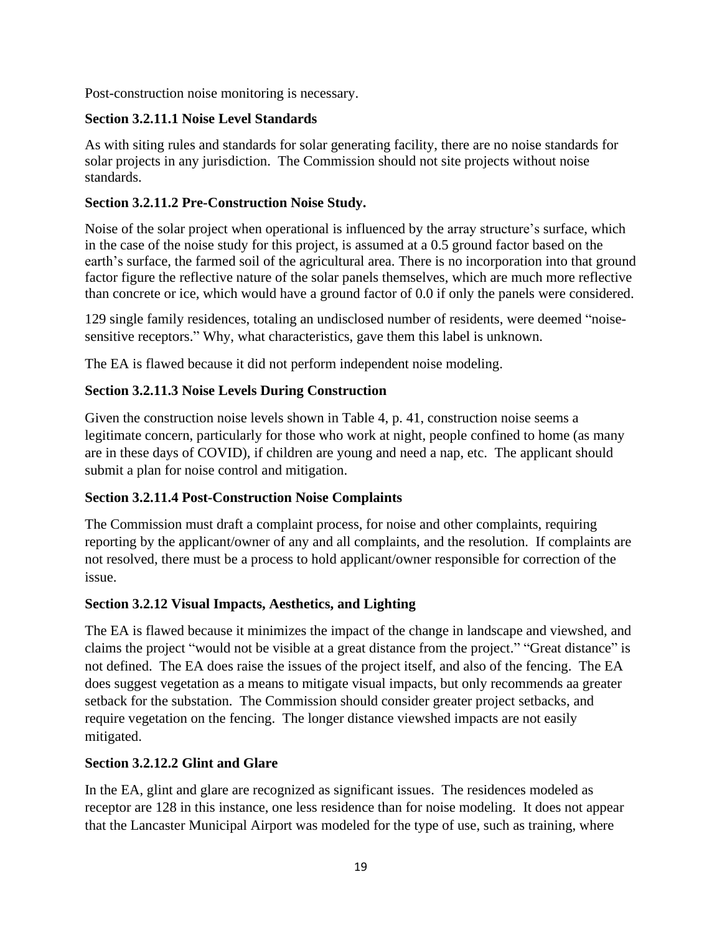Post-construction noise monitoring is necessary.

#### **Section 3.2.11.1 Noise Level Standards**

As with siting rules and standards for solar generating facility, there are no noise standards for solar projects in any jurisdiction. The Commission should not site projects without noise standards.

### **Section 3.2.11.2 Pre-Construction Noise Study.**

Noise of the solar project when operational is influenced by the array structure's surface, which in the case of the noise study for this project, is assumed at a 0.5 ground factor based on the earth's surface, the farmed soil of the agricultural area. There is no incorporation into that ground factor figure the reflective nature of the solar panels themselves, which are much more reflective than concrete or ice, which would have a ground factor of 0.0 if only the panels were considered.

129 single family residences, totaling an undisclosed number of residents, were deemed "noisesensitive receptors." Why, what characteristics, gave them this label is unknown.

The EA is flawed because it did not perform independent noise modeling.

## **Section 3.2.11.3 Noise Levels During Construction**

Given the construction noise levels shown in Table 4, p. 41, construction noise seems a legitimate concern, particularly for those who work at night, people confined to home (as many are in these days of COVID), if children are young and need a nap, etc. The applicant should submit a plan for noise control and mitigation.

#### **Section 3.2.11.4 Post-Construction Noise Complaints**

The Commission must draft a complaint process, for noise and other complaints, requiring reporting by the applicant/owner of any and all complaints, and the resolution. If complaints are not resolved, there must be a process to hold applicant/owner responsible for correction of the issue.

#### **Section 3.2.12 Visual Impacts, Aesthetics, and Lighting**

The EA is flawed because it minimizes the impact of the change in landscape and viewshed, and claims the project "would not be visible at a great distance from the project." "Great distance" is not defined. The EA does raise the issues of the project itself, and also of the fencing. The EA does suggest vegetation as a means to mitigate visual impacts, but only recommends aa greater setback for the substation. The Commission should consider greater project setbacks, and require vegetation on the fencing. The longer distance viewshed impacts are not easily mitigated.

#### **Section 3.2.12.2 Glint and Glare**

In the EA, glint and glare are recognized as significant issues. The residences modeled as receptor are 128 in this instance, one less residence than for noise modeling. It does not appear that the Lancaster Municipal Airport was modeled for the type of use, such as training, where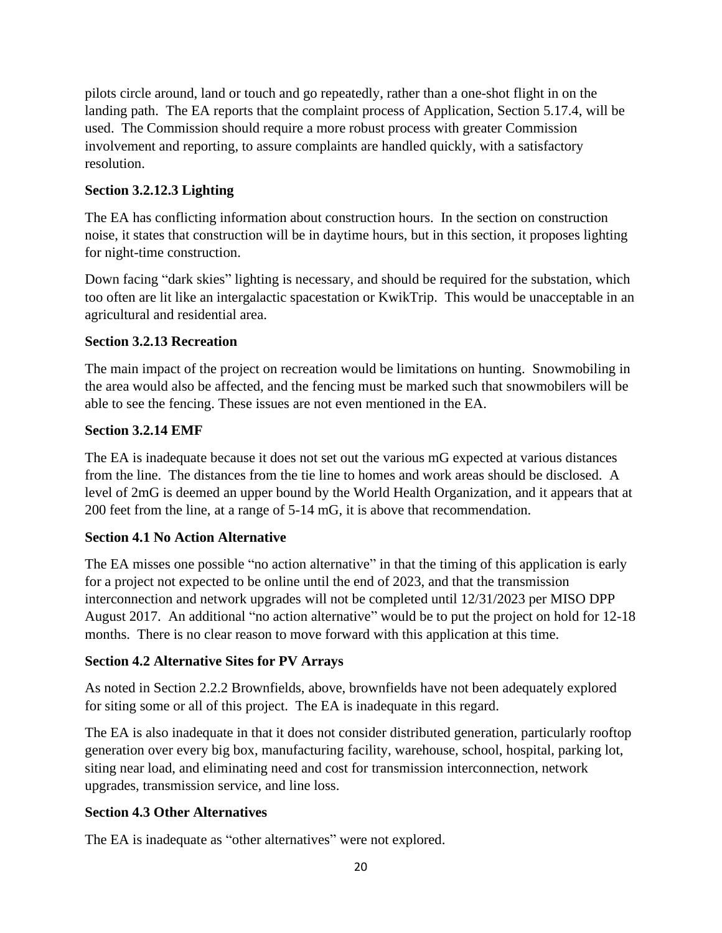pilots circle around, land or touch and go repeatedly, rather than a one-shot flight in on the landing path. The EA reports that the complaint process of Application, Section 5.17.4, will be used. The Commission should require a more robust process with greater Commission involvement and reporting, to assure complaints are handled quickly, with a satisfactory resolution.

## **Section 3.2.12.3 Lighting**

The EA has conflicting information about construction hours. In the section on construction noise, it states that construction will be in daytime hours, but in this section, it proposes lighting for night-time construction.

Down facing "dark skies" lighting is necessary, and should be required for the substation, which too often are lit like an intergalactic spacestation or KwikTrip. This would be unacceptable in an agricultural and residential area.

#### **Section 3.2.13 Recreation**

The main impact of the project on recreation would be limitations on hunting. Snowmobiling in the area would also be affected, and the fencing must be marked such that snowmobilers will be able to see the fencing. These issues are not even mentioned in the EA.

#### **Section 3.2.14 EMF**

The EA is inadequate because it does not set out the various mG expected at various distances from the line. The distances from the tie line to homes and work areas should be disclosed. A level of 2mG is deemed an upper bound by the World Health Organization, and it appears that at 200 feet from the line, at a range of 5-14 mG, it is above that recommendation.

#### **Section 4.1 No Action Alternative**

The EA misses one possible "no action alternative" in that the timing of this application is early for a project not expected to be online until the end of 2023, and that the transmission interconnection and network upgrades will not be completed until 12/31/2023 per MISO DPP August 2017. An additional "no action alternative" would be to put the project on hold for 12-18 months. There is no clear reason to move forward with this application at this time.

#### **Section 4.2 Alternative Sites for PV Arrays**

As noted in Section 2.2.2 Brownfields, above, brownfields have not been adequately explored for siting some or all of this project. The EA is inadequate in this regard.

The EA is also inadequate in that it does not consider distributed generation, particularly rooftop generation over every big box, manufacturing facility, warehouse, school, hospital, parking lot, siting near load, and eliminating need and cost for transmission interconnection, network upgrades, transmission service, and line loss.

## **Section 4.3 Other Alternatives**

The EA is inadequate as "other alternatives" were not explored.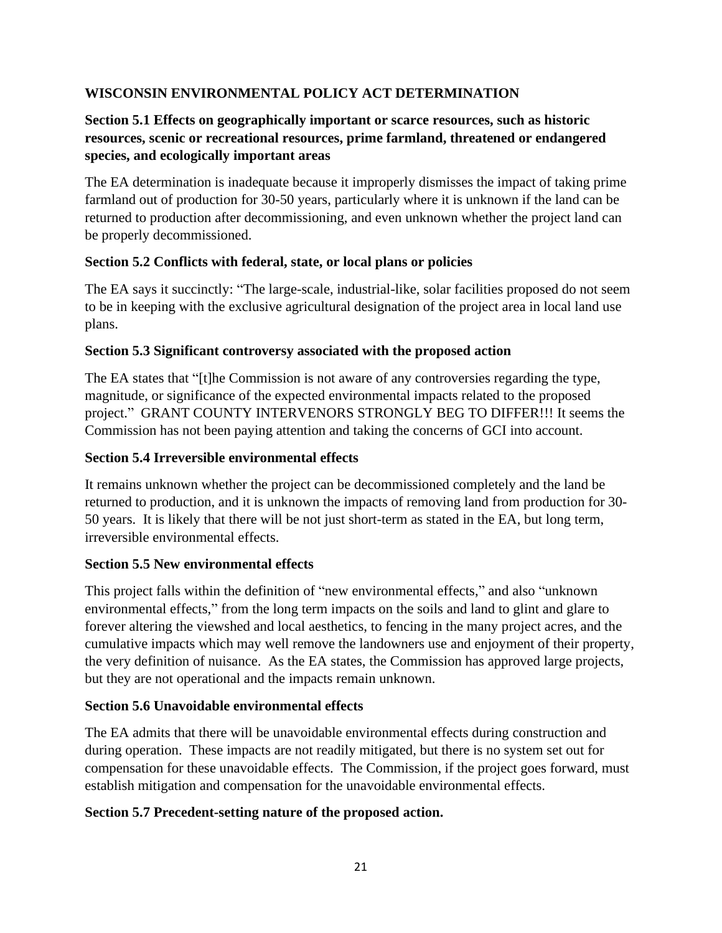## **WISCONSIN ENVIRONMENTAL POLICY ACT DETERMINATION**

## **Section 5.1 Effects on geographically important or scarce resources, such as historic resources, scenic or recreational resources, prime farmland, threatened or endangered species, and ecologically important areas**

The EA determination is inadequate because it improperly dismisses the impact of taking prime farmland out of production for 30-50 years, particularly where it is unknown if the land can be returned to production after decommissioning, and even unknown whether the project land can be properly decommissioned.

#### **Section 5.2 Conflicts with federal, state, or local plans or policies**

The EA says it succinctly: "The large-scale, industrial-like, solar facilities proposed do not seem to be in keeping with the exclusive agricultural designation of the project area in local land use plans.

#### **Section 5.3 Significant controversy associated with the proposed action**

The EA states that "[t]he Commission is not aware of any controversies regarding the type, magnitude, or significance of the expected environmental impacts related to the proposed project." GRANT COUNTY INTERVENORS STRONGLY BEG TO DIFFER!!! It seems the Commission has not been paying attention and taking the concerns of GCI into account.

## **Section 5.4 Irreversible environmental effects**

It remains unknown whether the project can be decommissioned completely and the land be returned to production, and it is unknown the impacts of removing land from production for 30- 50 years. It is likely that there will be not just short-term as stated in the EA, but long term, irreversible environmental effects.

#### **Section 5.5 New environmental effects**

This project falls within the definition of "new environmental effects," and also "unknown environmental effects," from the long term impacts on the soils and land to glint and glare to forever altering the viewshed and local aesthetics, to fencing in the many project acres, and the cumulative impacts which may well remove the landowners use and enjoyment of their property, the very definition of nuisance. As the EA states, the Commission has approved large projects, but they are not operational and the impacts remain unknown.

#### **Section 5.6 Unavoidable environmental effects**

The EA admits that there will be unavoidable environmental effects during construction and during operation. These impacts are not readily mitigated, but there is no system set out for compensation for these unavoidable effects. The Commission, if the project goes forward, must establish mitigation and compensation for the unavoidable environmental effects.

#### **Section 5.7 Precedent-setting nature of the proposed action.**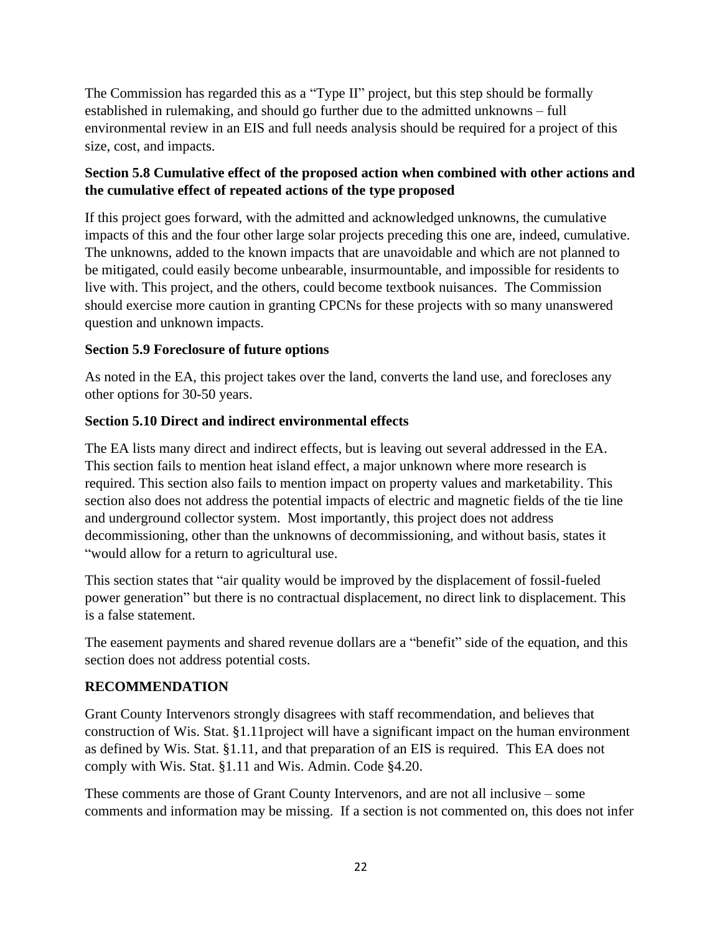The Commission has regarded this as a "Type II" project, but this step should be formally established in rulemaking, and should go further due to the admitted unknowns – full environmental review in an EIS and full needs analysis should be required for a project of this size, cost, and impacts.

## **Section 5.8 Cumulative effect of the proposed action when combined with other actions and the cumulative effect of repeated actions of the type proposed**

If this project goes forward, with the admitted and acknowledged unknowns, the cumulative impacts of this and the four other large solar projects preceding this one are, indeed, cumulative. The unknowns, added to the known impacts that are unavoidable and which are not planned to be mitigated, could easily become unbearable, insurmountable, and impossible for residents to live with. This project, and the others, could become textbook nuisances. The Commission should exercise more caution in granting CPCNs for these projects with so many unanswered question and unknown impacts.

## **Section 5.9 Foreclosure of future options**

As noted in the EA, this project takes over the land, converts the land use, and forecloses any other options for 30-50 years.

## **Section 5.10 Direct and indirect environmental effects**

The EA lists many direct and indirect effects, but is leaving out several addressed in the EA. This section fails to mention heat island effect, a major unknown where more research is required. This section also fails to mention impact on property values and marketability. This section also does not address the potential impacts of electric and magnetic fields of the tie line and underground collector system. Most importantly, this project does not address decommissioning, other than the unknowns of decommissioning, and without basis, states it "would allow for a return to agricultural use.

This section states that "air quality would be improved by the displacement of fossil-fueled power generation" but there is no contractual displacement, no direct link to displacement. This is a false statement.

The easement payments and shared revenue dollars are a "benefit" side of the equation, and this section does not address potential costs.

#### **RECOMMENDATION**

Grant County Intervenors strongly disagrees with staff recommendation, and believes that construction of Wis. Stat. §1.11project will have a significant impact on the human environment as defined by Wis. Stat. §1.11, and that preparation of an EIS is required. This EA does not comply with Wis. Stat. §1.11 and Wis. Admin. Code §4.20.

These comments are those of Grant County Intervenors, and are not all inclusive – some comments and information may be missing. If a section is not commented on, this does not infer